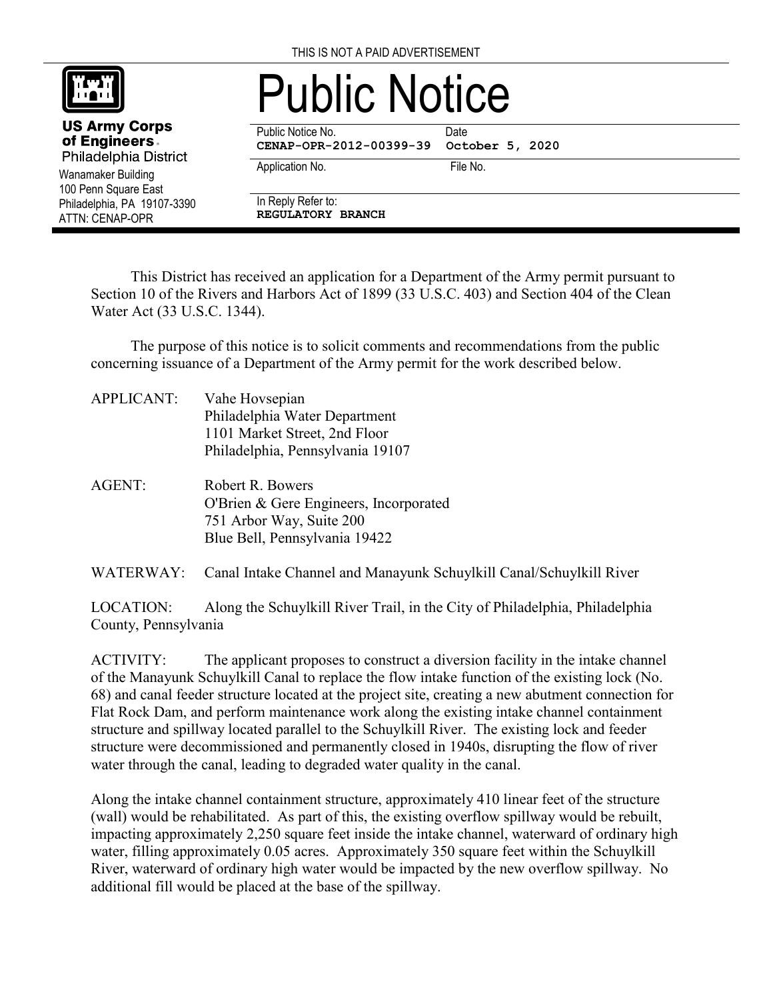

Wanamaker Building 100 Penn Square East Philadelphia, PA 19107-3390

**US Army Corps** of Engineers. Philadelphia District

ATTN: CENAP-OPR

## Public Notice

Public Notice No. **Date** 

**CENAP-OPR-2012-00399-39 October 5, 2020**

Application No. 6. The No.

In Reply Refer to:

**REGULATORY BRANCH**

This District has received an application for a Department of the Army permit pursuant to Section 10 of the Rivers and Harbors Act of 1899 (33 U.S.C. 403) and Section 404 of the Clean Water Act (33 U.S.C. 1344).

The purpose of this notice is to solicit comments and recommendations from the public concerning issuance of a Department of the Army permit for the work described below.

- APPLICANT: Vahe Hovsepian Philadelphia Water Department 1101 Market Street, 2nd Floor Philadelphia, Pennsylvania 19107
- AGENT: Robert R. Bowers O'Brien & Gere Engineers, Incorporated 751 Arbor Way, Suite 200 Blue Bell, Pennsylvania 19422

WATERWAY: Canal Intake Channel and Manayunk Schuylkill Canal/Schuylkill River

LOCATION: Along the Schuylkill River Trail, in the City of Philadelphia, Philadelphia County, Pennsylvania

ACTIVITY: The applicant proposes to construct a diversion facility in the intake channel of the Manayunk Schuylkill Canal to replace the flow intake function of the existing lock (No. 68) and canal feeder structure located at the project site, creating a new abutment connection for Flat Rock Dam, and perform maintenance work along the existing intake channel containment structure and spillway located parallel to the Schuylkill River. The existing lock and feeder structure were decommissioned and permanently closed in 1940s, disrupting the flow of river water through the canal, leading to degraded water quality in the canal.

Along the intake channel containment structure, approximately 410 linear feet of the structure (wall) would be rehabilitated. As part of this, the existing overflow spillway would be rebuilt, impacting approximately 2,250 square feet inside the intake channel, waterward of ordinary high water, filling approximately 0.05 acres. Approximately 350 square feet within the Schuylkill River, waterward of ordinary high water would be impacted by the new overflow spillway. No additional fill would be placed at the base of the spillway.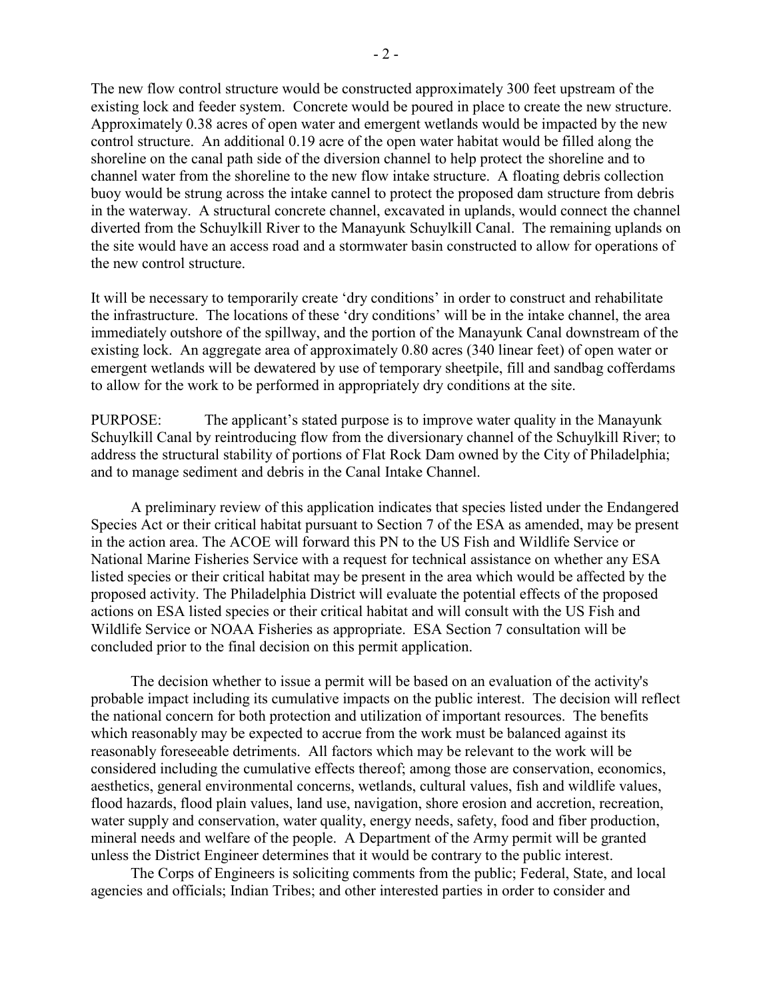The new flow control structure would be constructed approximately 300 feet upstream of the existing lock and feeder system. Concrete would be poured in place to create the new structure. Approximately 0.38 acres of open water and emergent wetlands would be impacted by the new control structure. An additional 0.19 acre of the open water habitat would be filled along the shoreline on the canal path side of the diversion channel to help protect the shoreline and to channel water from the shoreline to the new flow intake structure. A floating debris collection buoy would be strung across the intake cannel to protect the proposed dam structure from debris in the waterway. A structural concrete channel, excavated in uplands, would connect the channel diverted from the Schuylkill River to the Manayunk Schuylkill Canal. The remaining uplands on the site would have an access road and a stormwater basin constructed to allow for operations of the new control structure.

It will be necessary to temporarily create 'dry conditions' in order to construct and rehabilitate the infrastructure. The locations of these 'dry conditions' will be in the intake channel, the area immediately outshore of the spillway, and the portion of the Manayunk Canal downstream of the existing lock. An aggregate area of approximately 0.80 acres (340 linear feet) of open water or emergent wetlands will be dewatered by use of temporary sheetpile, fill and sandbag cofferdams to allow for the work to be performed in appropriately dry conditions at the site.

PURPOSE: The applicant's stated purpose is to improve water quality in the Manayunk Schuylkill Canal by reintroducing flow from the diversionary channel of the Schuylkill River; to address the structural stability of portions of Flat Rock Dam owned by the City of Philadelphia; and to manage sediment and debris in the Canal Intake Channel.

A preliminary review of this application indicates that species listed under the Endangered Species Act or their critical habitat pursuant to Section 7 of the ESA as amended, may be present in the action area. The ACOE will forward this PN to the US Fish and Wildlife Service or National Marine Fisheries Service with a request for technical assistance on whether any ESA listed species or their critical habitat may be present in the area which would be affected by the proposed activity. The Philadelphia District will evaluate the potential effects of the proposed actions on ESA listed species or their critical habitat and will consult with the US Fish and Wildlife Service or NOAA Fisheries as appropriate. ESA Section 7 consultation will be concluded prior to the final decision on this permit application.

The decision whether to issue a permit will be based on an evaluation of the activity's probable impact including its cumulative impacts on the public interest. The decision will reflect the national concern for both protection and utilization of important resources. The benefits which reasonably may be expected to accrue from the work must be balanced against its reasonably foreseeable detriments. All factors which may be relevant to the work will be considered including the cumulative effects thereof; among those are conservation, economics, aesthetics, general environmental concerns, wetlands, cultural values, fish and wildlife values, flood hazards, flood plain values, land use, navigation, shore erosion and accretion, recreation, water supply and conservation, water quality, energy needs, safety, food and fiber production, mineral needs and welfare of the people. A Department of the Army permit will be granted unless the District Engineer determines that it would be contrary to the public interest.

The Corps of Engineers is soliciting comments from the public; Federal, State, and local agencies and officials; Indian Tribes; and other interested parties in order to consider and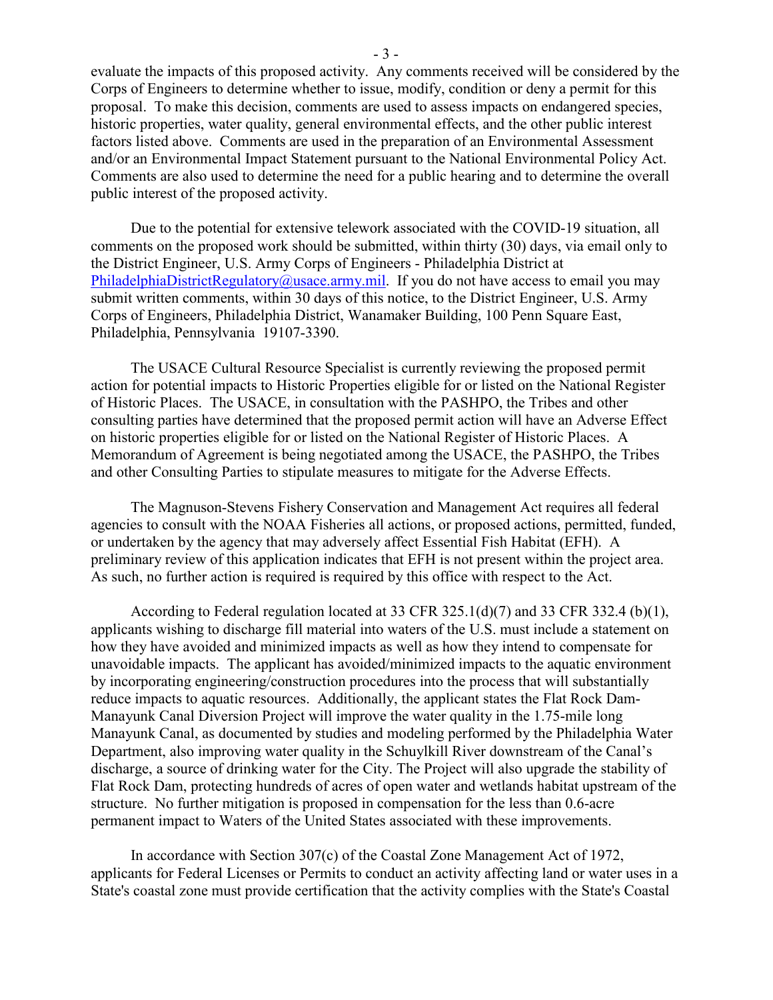evaluate the impacts of this proposed activity. Any comments received will be considered by the Corps of Engineers to determine whether to issue, modify, condition or deny a permit for this proposal. To make this decision, comments are used to assess impacts on endangered species, historic properties, water quality, general environmental effects, and the other public interest factors listed above. Comments are used in the preparation of an Environmental Assessment and/or an Environmental Impact Statement pursuant to the National Environmental Policy Act. Comments are also used to determine the need for a public hearing and to determine the overall public interest of the proposed activity.

Due to the potential for extensive telework associated with the COVID-19 situation, all comments on the proposed work should be submitted, within thirty (30) days, via email only to the District Engineer, U.S. Army Corps of Engineers - Philadelphia District at [PhiladelphiaDistrictRegulatory@usace.army.mil.](mailto:PhiladelphiaDistrictRegulatory@usace.army.mil) If you do not have access to email you may submit written comments, within 30 days of this notice, to the District Engineer, U.S. Army Corps of Engineers, Philadelphia District, Wanamaker Building, 100 Penn Square East, Philadelphia, Pennsylvania 19107-3390.

The USACE Cultural Resource Specialist is currently reviewing the proposed permit action for potential impacts to Historic Properties eligible for or listed on the National Register of Historic Places. The USACE, in consultation with the PASHPO, the Tribes and other consulting parties have determined that the proposed permit action will have an Adverse Effect on historic properties eligible for or listed on the National Register of Historic Places. A Memorandum of Agreement is being negotiated among the USACE, the PASHPO, the Tribes and other Consulting Parties to stipulate measures to mitigate for the Adverse Effects.

The Magnuson‐Stevens Fishery Conservation and Management Act requires all federal agencies to consult with the NOAA Fisheries all actions, or proposed actions, permitted, funded, or undertaken by the agency that may adversely affect Essential Fish Habitat (EFH). A preliminary review of this application indicates that EFH is not present within the project area. As such, no further action is required is required by this office with respect to the Act.

According to Federal regulation located at 33 CFR 325.1(d)(7) and 33 CFR 332.4 (b)(1), applicants wishing to discharge fill material into waters of the U.S. must include a statement on how they have avoided and minimized impacts as well as how they intend to compensate for unavoidable impacts. The applicant has avoided/minimized impacts to the aquatic environment by incorporating engineering/construction procedures into the process that will substantially reduce impacts to aquatic resources. Additionally, the applicant states the Flat Rock Dam-Manayunk Canal Diversion Project will improve the water quality in the 1.75-mile long Manayunk Canal, as documented by studies and modeling performed by the Philadelphia Water Department, also improving water quality in the Schuylkill River downstream of the Canal's discharge, a source of drinking water for the City. The Project will also upgrade the stability of Flat Rock Dam, protecting hundreds of acres of open water and wetlands habitat upstream of the structure. No further mitigation is proposed in compensation for the less than 0.6-acre permanent impact to Waters of the United States associated with these improvements.

In accordance with Section 307(c) of the Coastal Zone Management Act of 1972, applicants for Federal Licenses or Permits to conduct an activity affecting land or water uses in a State's coastal zone must provide certification that the activity complies with the State's Coastal